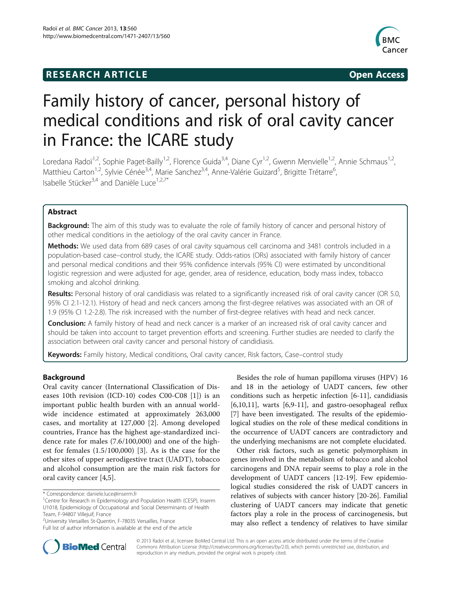# **RESEARCH ARTICLE Example 2008 Open Access**



# Family history of cancer, personal history of medical conditions and risk of oral cavity cancer in France: the ICARE study

Loredana Radoï<sup>1,2</sup>, Sophie Paget-Bailly<sup>1,2</sup>, Florence Guida<sup>3,4</sup>, Diane Cyr<sup>1,2</sup>, Gwenn Menvielle<sup>1,2</sup>, Annie Schmaus<sup>1,2</sup>, Matthieu Carton<sup>1,2</sup>, Sylvie Cénée<sup>3,4</sup>, Marie Sanchez<sup>3,4</sup>, Anne-Valérie Guizard<sup>5</sup>, Brigitte Trétarre<sup>6</sup> , Isabelle Stücker<sup>3,4</sup> and Danièle Luce<sup>1,2,7\*</sup>

# Abstract

**Background:** The aim of this study was to evaluate the role of family history of cancer and personal history of other medical conditions in the aetiology of the oral cavity cancer in France.

Methods: We used data from 689 cases of oral cavity squamous cell carcinoma and 3481 controls included in a population-based case–control study, the ICARE study. Odds-ratios (ORs) associated with family history of cancer and personal medical conditions and their 95% confidence intervals (95% CI) were estimated by unconditional logistic regression and were adjusted for age, gender, area of residence, education, body mass index, tobacco smoking and alcohol drinking.

Results: Personal history of oral candidiasis was related to a significantly increased risk of oral cavity cancer (OR 5.0, 95% CI 2.1-12.1). History of head and neck cancers among the first-degree relatives was associated with an OR of 1.9 (95% CI 1.2-2.8). The risk increased with the number of first-degree relatives with head and neck cancer.

Conclusion: A family history of head and neck cancer is a marker of an increased risk of oral cavity cancer and should be taken into account to target prevention efforts and screening. Further studies are needed to clarify the association between oral cavity cancer and personal history of candidiasis.

Keywords: Family history, Medical conditions, Oral cavity cancer, Risk factors, Case–control study

# Background

Oral cavity cancer (International Classification of Diseases 10th revision (ICD-10) codes C00-C08 [[1\]](#page-8-0)) is an important public health burden with an annual worldwide incidence estimated at approximately 263,000 cases, and mortality at 127,000 [[2\]](#page-8-0). Among developed countries, France has the highest age-standardized incidence rate for males (7.6/100,000) and one of the highest for females (1.5/100,000) [\[3](#page-8-0)]. As is the case for the other sites of upper aerodigestive tract (UADT), tobacco and alcohol consumption are the main risk factors for oral cavity cancer [[4,5](#page-8-0)].

2 University Versailles St-Quentin, F-78035 Versailles, France

Besides the role of human papilloma viruses (HPV) 16 and 18 in the aetiology of UADT cancers, few other conditions such as herpetic infection [[6-11\]](#page-8-0), candidiasis [[6,10,11\]](#page-8-0), warts [[6,9-11](#page-8-0)], and gastro-oesophageal reflux [[7\]](#page-8-0) have been investigated. The results of the epidemiological studies on the role of these medical conditions in the occurrence of UADT cancers are contradictory and the underlying mechanisms are not complete elucidated.

Other risk factors, such as genetic polymorphism in genes involved in the metabolism of tobacco and alcohol carcinogens and DNA repair seems to play a role in the development of UADT cancers [[12](#page-8-0)-[19\]](#page-9-0). Few epidemiological studies considered the risk of UADT cancers in relatives of subjects with cancer history [[20-26\]](#page-9-0). Familial clustering of UADT cancers may indicate that genetic factors play a role in the process of carcinogenesis, but may also reflect a tendency of relatives to have similar



© 2013 Radoï et al.; licensee BioMed Central Ltd. This is an open access article distributed under the terms of the Creative Commons Attribution License [\(http://creativecommons.org/licenses/by/2.0\)](http://creativecommons.org/licenses/by/2.0), which permits unrestricted use, distribution, and reproduction in any medium, provided the original work is properly cited.

<sup>\*</sup> Correspondence: [daniele.luce@inserm.fr](mailto:daniele.luce@inserm.fr) <sup>1</sup>

<sup>&</sup>lt;sup>1</sup> Centre for Research in Epidemiology and Population Health (CESP), Inserm U1018, Epidemiology of Occupational and Social Determinants of Health Team, F-94807 Villejuif, France

Full list of author information is available at the end of the article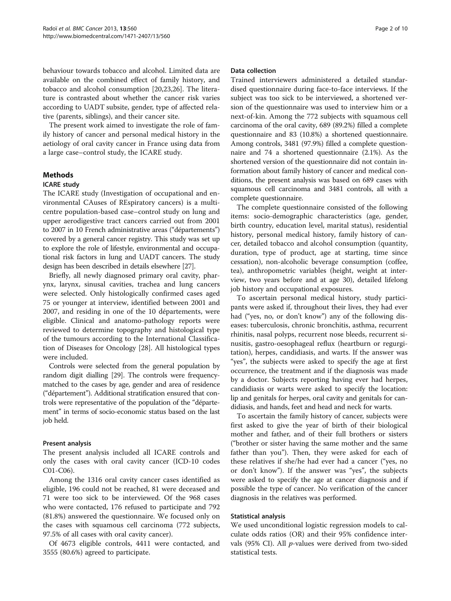behaviour towards tobacco and alcohol. Limited data are available on the combined effect of family history, and tobacco and alcohol consumption [[20,23,26\]](#page-9-0). The literature is contrasted about whether the cancer risk varies according to UADT subsite, gender, type of affected relative (parents, siblings), and their cancer site.

The present work aimed to investigate the role of family history of cancer and personal medical history in the aetiology of oral cavity cancer in France using data from a large case–control study, the ICARE study.

# Methods

#### ICARE study

The ICARE study (Investigation of occupational and environmental CAuses of REspiratory cancers) is a multicentre population-based case–control study on lung and upper aerodigestive tract cancers carried out from 2001 to 2007 in 10 French administrative areas ("départements") covered by a general cancer registry. This study was set up to explore the role of lifestyle, environmental and occupational risk factors in lung and UADT cancers. The study design has been described in details elsewhere [[27](#page-9-0)].

Briefly, all newly diagnosed primary oral cavity, pharynx, larynx, sinusal cavities, trachea and lung cancers were selected. Only histologically confirmed cases aged 75 or younger at interview, identified between 2001 and 2007, and residing in one of the 10 départements, were eligible. Clinical and anatomo-pathology reports were reviewed to determine topography and histological type of the tumours according to the International Classification of Diseases for Oncology [\[28\]](#page-9-0). All histological types were included.

Controls were selected from the general population by random digit dialling [\[29](#page-9-0)]. The controls were frequencymatched to the cases by age, gender and area of residence ("département"). Additional stratification ensured that controls were representative of the population of the "département" in terms of socio-economic status based on the last job held.

#### Present analysis

The present analysis included all ICARE controls and only the cases with oral cavity cancer (ICD-10 codes C01-C06).

Among the 1316 oral cavity cancer cases identified as eligible, 196 could not be reached, 81 were deceased and 71 were too sick to be interviewed. Of the 968 cases who were contacted, 176 refused to participate and 792 (81.8%) answered the questionnaire. We focused only on the cases with squamous cell carcinoma (772 subjects, 97.5% of all cases with oral cavity cancer).

Of 4673 eligible controls, 4411 were contacted, and 3555 (80.6%) agreed to participate.

## Data collection

Trained interviewers administered a detailed standardised questionnaire during face-to-face interviews. If the subject was too sick to be interviewed, a shortened version of the questionnaire was used to interview him or a next-of-kin. Among the 772 subjects with squamous cell carcinoma of the oral cavity, 689 (89.2%) filled a complete questionnaire and 83 (10.8%) a shortened questionnaire. Among controls, 3481 (97.9%) filled a complete questionnaire and 74 a shortened questionnaire (2.1%). As the shortened version of the questionnaire did not contain information about family history of cancer and medical conditions, the present analysis was based on 689 cases with squamous cell carcinoma and 3481 controls, all with a complete questionnaire.

The complete questionnaire consisted of the following items: socio-demographic characteristics (age, gender, birth country, education level, marital status), residential history, personal medical history, family history of cancer, detailed tobacco and alcohol consumption (quantity, duration, type of product, age at starting, time since cessation), non-alcoholic beverage consumption (coffee, tea), anthropometric variables (height, weight at interview, two years before and at age 30), detailed lifelong job history and occupational exposures.

To ascertain personal medical history, study participants were asked if, throughout their lives, they had ever had ("yes, no, or don't know") any of the following diseases: tuberculosis, chronic bronchitis, asthma, recurrent rhinitis, nasal polyps, recurrent nose bleeds, recurrent sinusitis, gastro-oesophageal reflux (heartburn or regurgitation), herpes, candidiasis, and warts. If the answer was "yes", the subjects were asked to specify the age at first occurrence, the treatment and if the diagnosis was made by a doctor. Subjects reporting having ever had herpes, candidiasis or warts were asked to specify the location: lip and genitals for herpes, oral cavity and genitals for candidiasis, and hands, feet and head and neck for warts.

To ascertain the family history of cancer, subjects were first asked to give the year of birth of their biological mother and father, and of their full brothers or sisters ("brother or sister having the same mother and the same father than you"). Then, they were asked for each of these relatives if she/he had ever had a cancer ("yes, no or don't know"). If the answer was "yes", the subjects were asked to specify the age at cancer diagnosis and if possible the type of cancer. No verification of the cancer diagnosis in the relatives was performed.

#### Statistical analysis

We used unconditional logistic regression models to calculate odds ratios (OR) and their 95% confidence intervals (95% CI). All  $p$ -values were derived from two-sided statistical tests.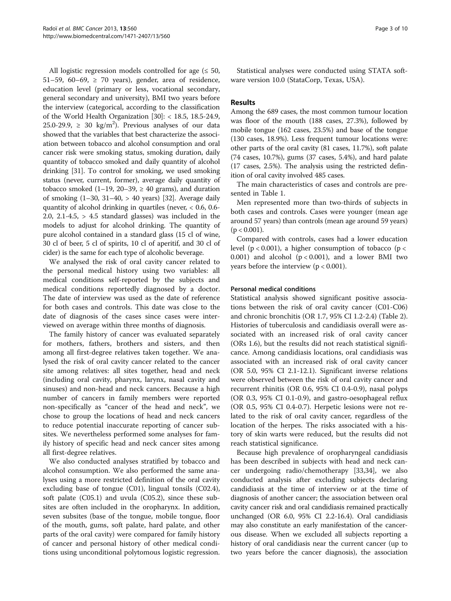All logistic regression models controlled for age  $( \leq 50,$ 51–59, 60–69,  $\geq$  70 years), gender, area of residence, education level (primary or less, vocational secondary, general secondary and university), BMI two years before the interview (categorical, according to the classification of the World Health Organization [[30\]](#page-9-0): < 18.5, 18.5-24.9, 25.0-29.9,  $\geq$  30 kg/m<sup>2</sup>). Previous analyses of our data showed that the variables that best characterize the association between tobacco and alcohol consumption and oral cancer risk were smoking status, smoking duration, daily quantity of tobacco smoked and daily quantity of alcohol drinking [\[31\]](#page-9-0). To control for smoking, we used smoking status (never, current, former), average daily quantity of tobacco smoked  $(1-19, 20-39) \ge 40$  grams), and duration of smoking (1–30, 31–40, > 40 years) [[32](#page-9-0)]. Average daily quantity of alcohol drinking in quartiles (never, < 0.6, 0.6- 2.0, 2.1-4.5,  $> 4.5$  standard glasses) was included in the models to adjust for alcohol drinking. The quantity of pure alcohol contained in a standard glass (15 cl of wine, 30 cl of beer, 5 cl of spirits, 10 cl of aperitif, and 30 cl of cider) is the same for each type of alcoholic beverage.

We analysed the risk of oral cavity cancer related to the personal medical history using two variables: all medical conditions self-reported by the subjects and medical conditions reportedly diagnosed by a doctor. The date of interview was used as the date of reference for both cases and controls. This date was close to the date of diagnosis of the cases since cases were interviewed on average within three months of diagnosis.

The family history of cancer was evaluated separately for mothers, fathers, brothers and sisters, and then among all first-degree relatives taken together. We analysed the risk of oral cavity cancer related to the cancer site among relatives: all sites together, head and neck (including oral cavity, pharynx, larynx, nasal cavity and sinuses) and non-head and neck cancers. Because a high number of cancers in family members were reported non-specifically as "cancer of the head and neck", we chose to group the locations of head and neck cancers to reduce potential inaccurate reporting of cancer subsites. We nevertheless performed some analyses for family history of specific head and neck cancer sites among all first-degree relatives.

We also conducted analyses stratified by tobacco and alcohol consumption. We also performed the same analyses using a more restricted definition of the oral cavity excluding base of tongue (C01), lingual tonsils (C02.4), soft palate (C05.1) and uvula (C05.2), since these subsites are often included in the oropharynx. In addition, seven subsites (base of the tongue, mobile tongue, floor of the mouth, gums, soft palate, hard palate, and other parts of the oral cavity) were compared for family history of cancer and personal history of other medical conditions using unconditional polytomous logistic regression.

Statistical analyses were conducted using STATA software version 10.0 (StataCorp, Texas, USA).

# Results

Among the 689 cases, the most common tumour location was floor of the mouth (188 cases, 27.3%), followed by mobile tongue (162 cases, 23.5%) and base of the tongue (130 cases, 18.9%). Less frequent tumour locations were: other parts of the oral cavity (81 cases, 11.7%), soft palate (74 cases, 10.7%), gums (37 cases, 5.4%), and hard palate (17 cases, 2.5%). The analysis using the restricted definition of oral cavity involved 485 cases.

The main characteristics of cases and controls are presented in Table [1.](#page-3-0)

Men represented more than two-thirds of subjects in both cases and controls. Cases were younger (mean age around 57 years) than controls (mean age around 59 years)  $(p < 0.001)$ .

Compared with controls, cases had a lower education level ( $p < 0.001$ ), a higher consumption of tobacco ( $p <$ 0.001) and alcohol  $(p < 0.001)$ , and a lower BMI two years before the interview (p < 0.001).

# Personal medical conditions

Statistical analysis showed significant positive associations between the risk of oral cavity cancer (C01-C06) and chronic bronchitis (OR 1.7, 95% CI 1.2-2.4) (Table [2](#page-4-0)). Histories of tuberculosis and candidiasis overall were associated with an increased risk of oral cavity cancer (ORs 1.6), but the results did not reach statistical significance. Among candidiasis locations, oral candidiasis was associated with an increased risk of oral cavity cancer (OR 5.0, 95% CI 2.1-12.1). Significant inverse relations were observed between the risk of oral cavity cancer and recurrent rhinitis (OR 0.6, 95% CI 0.4-0.9), nasal polyps (OR 0.3, 95% CI 0.1-0.9), and gastro-oesophageal reflux (OR 0.5, 95% CI 0.4-0.7). Herpetic lesions were not related to the risk of oral cavity cancer, regardless of the location of the herpes. The risks associated with a history of skin warts were reduced, but the results did not reach statistical significance.

Because high prevalence of oropharyngeal candidiasis has been described in subjects with head and neck cancer undergoing radio/chemotherapy [\[33,34](#page-9-0)], we also conducted analysis after excluding subjects declaring candidiasis at the time of interview or at the time of diagnosis of another cancer; the association between oral cavity cancer risk and oral candidiasis remained practically unchanged (OR 6.0, 95% CI 2.2-16.4). Oral candidiasis may also constitute an early manifestation of the cancerous disease. When we excluded all subjects reporting a history of oral candidiasis near the current cancer (up to two years before the cancer diagnosis), the association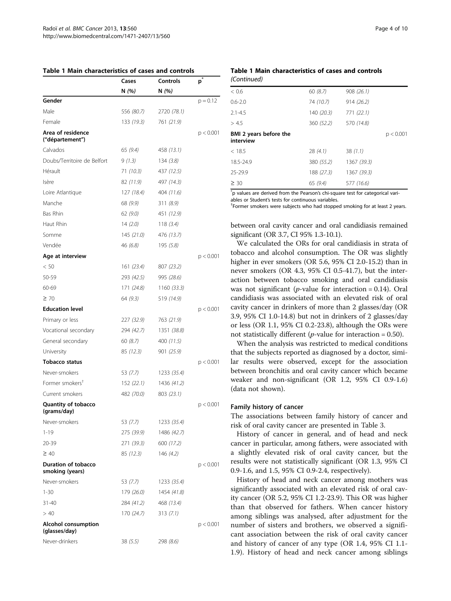<span id="page-3-0"></span>

|  | Table 1 Main characteristics of cases and controls |  |  |
|--|----------------------------------------------------|--|--|
|--|----------------------------------------------------|--|--|

|                                               | Cases      | Controls    | $\mathsf{p}^*$ |
|-----------------------------------------------|------------|-------------|----------------|
|                                               | N(%)       | N (%)       |                |
| Gender                                        |            |             | $p = 0.12$     |
| Male                                          | 556 (80.7) | 2720 (78.1) |                |
| Female                                        | 133 (19.3) | 761 (21.9)  |                |
| Area of residence<br>("département")          |            |             | p < 0.001      |
| Calvados                                      | 65 (9.4)   | 458 (13.1)  |                |
| Doubs/Territoire de Belfort                   | 9(1.3)     | 134(3.8)    |                |
| Hérault                                       | 71 (10.3)  | 437 (12.5)  |                |
| Isère                                         | 82 (11.9)  | 497 (14.3)  |                |
| Loire Atlantique                              | 127 (18.4) | 404 (11.6)  |                |
| Manche                                        | 68 (9.9)   | 311(8.9)    |                |
| Bas Rhin                                      | 62(9.0)    | 451 (12.9)  |                |
| Haut Rhin                                     | 14(2.0)    | 118 $(3.4)$ |                |
| Somme                                         | 145 (21.0) | 476 (13.7)  |                |
| Vendée                                        | 46 (6.8)   | 195 (5.8)   |                |
| Age at interview                              |            |             | p < 0.001      |
| < 50                                          | 161 (23.4) | 807 (23.2)  |                |
| 50-59                                         | 293 (42.5) | 995 (28.6)  |                |
| 60-69                                         | 171 (24.8) | 1160(33.3)  |                |
| $\geq 70$                                     | 64 (9.3)   | 519 (14.9)  |                |
| <b>Education level</b>                        |            |             | p < 0.001      |
| Primary or less                               | 227 (32.9) | 763 (21.9)  |                |
| Vocational secondary                          | 294 (42.7) | 1351 (38.8) |                |
| General secondary                             | 60 (8.7)   | 400 (11.5)  |                |
| University                                    | 85 (12.3)  | 901 (25.9)  |                |
| Tobacco status                                |            |             | p < 0.001      |
| Never-smokers                                 | 53 (7.7)   | 1233 (35.4) |                |
| Former smokers <sup>†</sup>                   | 152 (22.1) | 1436 (41.2) |                |
| Current smokers                               | 482 (70.0) | 803 (23.1)  |                |
| <b>Quantity of tobacco</b><br>(grams/day)     |            |             | p < 0.001      |
| Never-smokers                                 | 53 (7.7)   | 1233 (35.4) |                |
| $1 - 19$                                      | 275 (39.9) | 1486 (42.7) |                |
| 20-39                                         | 271 (39.3) | 600 (17.2)  |                |
| $\geq 40$                                     | 85 (12.3)  | 146 (4.2)   |                |
| <b>Duration of tobacco</b><br>smoking (years) |            |             | p < 0.001      |
| Never-smokers                                 | 53 (7.7)   | 1233 (35.4) |                |
| $1 - 30$                                      | 179 (26.0) | 1454 (41.8) |                |
| 31-40                                         | 284 (41.2) | 468 (13.4)  |                |
| > 40                                          | 170 (24.7) | 313(7.1)    |                |
| <b>Alcohol consumption</b><br>(glasses/day)   |            |             | p < 0.001      |
| Never-drinkers                                | 38 (5.5)   | 298 (8.6)   |                |

## Table 1 Main characteristics of cases and controls (Continued)

| < 0.6                               | 60(8.7)    | 908 (26.1)  |           |
|-------------------------------------|------------|-------------|-----------|
| $0.6 - 2.0$                         | 74 (10.7)  | 914 (26.2)  |           |
| $2.1 - 4.5$                         | 140 (20.3) | 771 (22.1)  |           |
| > 4.5                               | 360 (52.2) | 570 (14.8)  |           |
| BMI 2 years before the<br>interview |            |             | p < 0.001 |
| < 18.5                              | 28(4.1)    | 38(1.1)     |           |
| 18.5-24.9                           | 380 (55.2) | 1367 (39.3) |           |
| 25-29.9                             | 188 (27.3) | 1367 (39.3) |           |
| $\geq 30$                           | 65(9.4)    | 577 (16.6)  |           |
|                                     |            |             |           |

\* p values are derived from the Pearson's chi-square test for categorical vari-

ables or Student's tests for continuous variables.

<sup>+</sup>Former smokers were subjects who had stopped smoking for at least 2 years.

between oral cavity cancer and oral candidiasis remained significant (OR 3.7, CI 95% 1.3-10.1).

We calculated the ORs for oral candidiasis in strata of tobacco and alcohol consumption. The OR was slightly higher in ever smokers (OR 5.6, 95% CI 2.0-15.2) than in never smokers (OR 4.3, 95% CI 0.5-41.7), but the interaction between tobacco smoking and oral candidiasis was not significant (*p*-value for interaction = 0.14). Oral candidiasis was associated with an elevated risk of oral cavity cancer in drinkers of more than 2 glasses/day (OR 3.9, 95% CI 1.0-14.8) but not in drinkers of 2 glasses/day or less (OR 1.1, 95% CI 0.2-23.8), although the ORs were not statistically different (*p*-value for interaction =  $0.50$ ).

When the analysis was restricted to medical conditions that the subjects reported as diagnosed by a doctor, similar results were observed, except for the association between bronchitis and oral cavity cancer which became weaker and non-significant (OR 1.2, 95% CI 0.9-1.6) (data not shown).

#### Family history of cancer

The associations between family history of cancer and risk of oral cavity cancer are presented in Table [3.](#page-4-0)

History of cancer in general, and of head and neck cancer in particular, among fathers, were associated with a slightly elevated risk of oral cavity cancer, but the results were not statistically significant (OR 1.3, 95% CI 0.9-1.6, and 1.5, 95% CI 0.9-2.4, respectively).

History of head and neck cancer among mothers was significantly associated with an elevated risk of oral cavity cancer (OR 5.2, 95% CI 1.2-23.9). This OR was higher than that observed for fathers. When cancer history among siblings was analysed, after adjustment for the number of sisters and brothers, we observed a significant association between the risk of oral cavity cancer and history of cancer of any type (OR 1.4, 95% CI 1.1- 1.9). History of head and neck cancer among siblings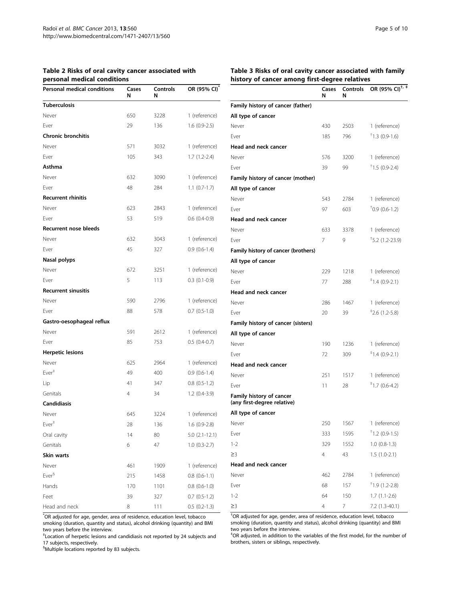<span id="page-4-0"></span>

| Table 2 Risks of oral cavity cancer associated with |  |
|-----------------------------------------------------|--|
| personal medical conditions                         |  |

| personar mearcar conarcions<br>Personal medical conditions | Cases      | Controls    | OR (95% CI)*      |
|------------------------------------------------------------|------------|-------------|-------------------|
|                                                            | N          | N           |                   |
| <b>Tuberculosis</b><br>Never                               | 650        |             | 1 (reference)     |
| Ever                                                       | 29         | 3228<br>136 |                   |
| <b>Chronic bronchitis</b>                                  |            |             | $1.6(0.9-2.5)$    |
|                                                            |            |             |                   |
| Never<br>Ever                                              | 571<br>105 | 3032<br>343 | 1 (reference)     |
| Asthma                                                     |            |             | $1.7(1.2-2.4)$    |
|                                                            |            |             |                   |
| Never                                                      | 632<br>48  | 3090        | 1 (reference)     |
| Ever                                                       |            | 284         | $1.1 (0.7 - 1.7)$ |
| <b>Recurrent rhinitis</b>                                  |            |             |                   |
| Never                                                      | 623        | 2843        | 1 (reference)     |
| Ever                                                       | 53         | 519         | $0.6(0.4-0.9)$    |
| <b>Recurrent nose bleeds</b>                               |            |             |                   |
| Never                                                      | 632        | 3043        | 1 (reference)     |
| Ever                                                       | 45         | 327         | $0.9(0.6-1.4)$    |
| Nasal polyps                                               |            |             |                   |
| Never                                                      | 672        | 3251        | 1 (reference)     |
| Ever                                                       | 5          | 113         | $0.3(0.1-0.9)$    |
| <b>Recurrent sinusitis</b>                                 |            |             |                   |
| Never                                                      | 590        | 2796        | 1 (reference)     |
| Ever                                                       | 88         | 578         | $0.7(0.5-1.0)$    |
| Gastro-oesophageal reflux                                  |            |             |                   |
| Never                                                      | 591        | 2612        | 1 (reference)     |
| Ever                                                       | 85         | 753         | $0.5(0.4-0.7)$    |
| <b>Herpetic lesions</b>                                    |            |             |                   |
| Never                                                      | 625        | 2964        | 1 (reference)     |
| Ever <sup>#</sup>                                          | 49         | 400         | $0.9(0.6-1.4)$    |
| Lip                                                        | 41         | 347         | $0.8(0.5-1.2)$    |
| Genitals                                                   | 4          | 34          | $1.2(0.4-3.9)$    |
| <b>Candidiasis</b>                                         |            |             |                   |
| Never                                                      | 645        | 3224        | 1 (reference)     |
| $Ever^*$                                                   | 28         | 136         | $1.6(0.9-2.8)$    |
| Oral cavity                                                | 14         | 80          | $5.0(2.1-12.1)$   |
| Genitals                                                   | 6          | 47          | $1.0(0.3-2.7)$    |
| Skin warts                                                 |            |             |                   |
| Never                                                      | 461        | 1909        | 1 (reference)     |
| Ever <sup>§</sup>                                          | 215        | 1458        | $0.8(0.6-1.1)$    |
| Hands                                                      | 170        | 1101        | $0.8$ $(0.6-1.0)$ |
| Feet                                                       | 39         | 327         | $0.7(0.5-1.2)$    |
| Head and neck                                              | 8          | 111         | $0.5(0.2-1.3)$    |

\* OR adjusted for age, gender, area of residence, education level, tobacco smoking (duration, quantity and status), alcohol drinking (quantity) and BMI two years before the interview.

‡ Location of herpetic lesions and candidiasis not reported by 24 subjects and 17 subjects, respectively.

§ Multiple locations reported by 83 subjects.

#### Table 3 Risks of oral cavity cancer associated with family history of cancer among first-degree relatives

|                                                         | Cases<br>N     | Controls<br>N | OR (95% CI) <sup>†, ‡</sup> |
|---------------------------------------------------------|----------------|---------------|-----------------------------|
| Family history of cancer (father)                       |                |               |                             |
| All type of cancer                                      |                |               |                             |
| Never                                                   | 430            | 2503          | 1 (reference)               |
| Ever                                                    | 185            | 796           | $+1.3$ (0.9-1.6)            |
| Head and neck cancer                                    |                |               |                             |
| Never                                                   | 576            | 3200          | 1 (reference)               |
| Ever                                                    | 39             | 99            | $+1.5(0.9-2.4)$             |
| Family history of cancer (mother)                       |                |               |                             |
| All type of cancer                                      |                |               |                             |
| Never                                                   | 543            | 2784          | 1 (reference)               |
| Ever                                                    | 97             | 603           | $10.9$ (0.6-1.2)            |
| Head and neck cancer                                    |                |               |                             |
| Never                                                   | 633            | 3378          | 1 (reference)               |
| Ever                                                    | 7              | 9             | $+5.2$ (1.2-23.9)           |
| Family history of cancer (brothers)                     |                |               |                             |
| All type of cancer                                      |                |               |                             |
| Never                                                   | 229            | 1218          | 1 (reference)               |
| Ever                                                    | 77             | 288           | $*1.4(0.9-2.1)$             |
| <b>Head and neck cancer</b>                             |                |               |                             |
| Never                                                   | 286            | 1467          | 1 (reference)               |
| Ever                                                    | 20             | 39            | $*2.6$ (1.2-5.8)            |
| Family history of cancer (sisters)                      |                |               |                             |
| All type of cancer                                      |                |               |                             |
| Never                                                   | 190            | 1236          | 1 (reference)               |
| Ever                                                    | 72             | 309           | $^{\ddagger}$ 1.4 (0.9-2.1) |
| Head and neck cancer                                    |                |               |                             |
| Never                                                   | 251            | 1517          | 1 (reference)               |
| Ever                                                    | 11             | 28            | $*1.7(0.6-4.2)$             |
| Family history of cancer<br>(any first-degree relative) |                |               |                             |
| All type of cancer                                      |                |               |                             |
| Never                                                   | 250            | 1567          | 1 (reference)               |
| Ever                                                    | 333            | 1595          | $1.2$ (0.9-1.5)             |
| $1 - 2$                                                 | 329            | 1552          | $1.0 (0.8-1.3)$             |
| $\geq$ 3                                                | $\overline{4}$ | 43            | $1.5(1.0-2.1)$              |
| Head and neck cancer                                    |                |               |                             |
| Never                                                   | 462            | 2784          | 1 (reference)               |
| Ever                                                    | 68             | 157           | $1.9(1.2-2.8)$              |
| $1 - 2$                                                 | 64             | 150           | $1.7(1.1-2.6)$              |
| $\geq$ 3                                                | $\overline{4}$ | 7             | 7.2 (1.3-40.1)              |

† OR adjusted for age, gender, area of residence, education level, tobacco smoking (duration, quantity and status), alcohol drinking (quantity) and BMI two years before the interview.

‡ OR adjusted, in addition to the variables of the first model, for the number of brothers, sisters or siblings, respectively.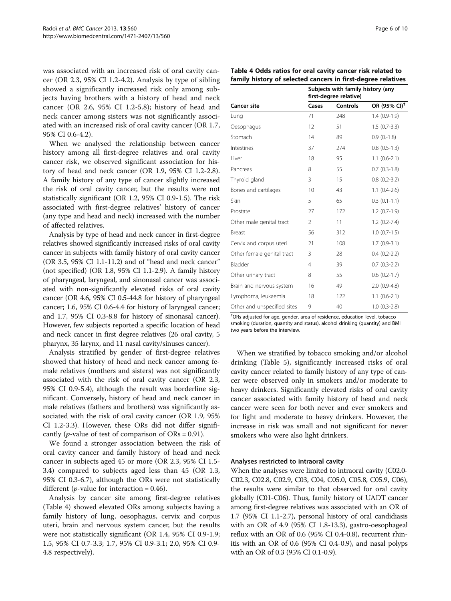was associated with an increased risk of oral cavity cancer (OR 2.3, 95% CI 1.2-4.2). Analysis by type of sibling showed a significantly increased risk only among subjects having brothers with a history of head and neck cancer (OR 2.6, 95% CI 1.2-5.8); history of head and neck cancer among sisters was not significantly associated with an increased risk of oral cavity cancer (OR 1.7, 95% CI 0.6-4.2).

When we analysed the relationship between cancer history among all first-degree relatives and oral cavity cancer risk, we observed significant association for history of head and neck cancer (OR 1.9, 95% CI 1.2-2.8). A family history of any type of cancer slightly increased the risk of oral cavity cancer, but the results were not statistically significant (OR 1.2, 95% CI 0.9-1.5). The risk associated with first-degree relatives' history of cancer (any type and head and neck) increased with the number of affected relatives.

Analysis by type of head and neck cancer in first-degree relatives showed significantly increased risks of oral cavity cancer in subjects with family history of oral cavity cancer (OR 3.5, 95% CI 1.1-11.2) and of "head and neck cancer" (not specified) (OR 1.8, 95% CI 1.1-2.9). A family history of pharyngeal, laryngeal, and sinonasal cancer was associated with non-significantly elevated risks of oral cavity cancer (OR 4.6, 95% CI 0.5-44.8 for history of pharyngeal cancer; 1.6, 95% CI 0.6-4.4 for history of laryngeal cancer; and 1.7, 95% CI 0.3-8.8 for history of sinonasal cancer). However, few subjects reported a specific location of head and neck cancer in first degree relatives (26 oral cavity, 5 pharynx, 35 larynx, and 11 nasal cavity/sinuses cancer).

Analysis stratified by gender of first-degree relatives showed that history of head and neck cancer among female relatives (mothers and sisters) was not significantly associated with the risk of oral cavity cancer (OR 2.3, 95% CI 0.9-5.4), although the result was borderline significant. Conversely, history of head and neck cancer in male relatives (fathers and brothers) was significantly associated with the risk of oral cavity cancer (OR 1.9, 95% CI 1.2-3.3). However, these ORs did not differ significantly (*p*-value of test of comparison of  $ORs = 0.91$ ).

We found a stronger association between the risk of oral cavity cancer and family history of head and neck cancer in subjects aged 45 or more (OR 2.3, 95% CI 1.5- 3.4) compared to subjects aged less than 45 (OR 1.3, 95% CI 0.3-6.7), although the ORs were not statistically different (*p*-value for interaction =  $0.46$ ).

Analysis by cancer site among first-degree relatives (Table 4) showed elevated ORs among subjects having a family history of lung, oesophagus, cervix and corpus uteri, brain and nervous system cancer, but the results were not statistically significant (OR 1.4, 95% CI 0.9-1.9; 1.5, 95% CI 0.7-3.3; 1.7, 95% CI 0.9-3.1; 2.0, 95% CI 0.9- 4.8 respectively).

|                             | first-degree relative) |          |                          |  |  |
|-----------------------------|------------------------|----------|--------------------------|--|--|
| <b>Cancer site</b>          | Cases                  | Controls | OR (95% CI) <sup>+</sup> |  |  |
| Lung                        | 71                     | 248      | $1.4(0.9-1.9)$           |  |  |
| Oesophagus                  | 12                     | 51       | $1.5(0.7-3.3)$           |  |  |
| Stomach                     | 14                     | 89       | $0.9(0.-1.8)$            |  |  |
| Intestines                  | 37                     | 274      | $0.8$ $(0.5-1.3)$        |  |  |
| Liver                       | 18                     | 95       | $1.1(0.6-2.1)$           |  |  |
| Pancreas                    | 8                      | 55       | $0.7(0.3-1.8)$           |  |  |
| Thyroid gland               | 3                      | 15       | $0.8$ $(0.2 - 3.2)$      |  |  |
| Bones and cartilages        | 10                     | 43       | $1.1(0.4-2.6)$           |  |  |
| Skin                        | 5                      | 65       | $0.3(0.1-1.1)$           |  |  |
| Prostate                    | 27                     | 172      | $1.2(0.7-1.9)$           |  |  |
| Other male genital tract    | $\mathfrak{D}$         | 11       | $1.2(0.2 - 7.4)$         |  |  |
| Breast                      | 56                     | 312      | $1.0(0.7-1.5)$           |  |  |
| Cervix and corpus uteri     | 21                     | 108      | $1.7(0.9-3.1)$           |  |  |
| Other female genital tract  | 3                      | 28       | $0.4(0.2-2.2)$           |  |  |
| Bladder                     | $\overline{4}$         | 39       | $0.7(0.3-2.2)$           |  |  |
| Other urinary tract         | 8                      | 55       | $0.6(0.2-1.7)$           |  |  |
| Brain and nervous system    | 16                     | 49       | $2.0(0.9-4.8)$           |  |  |
| Lymphoma, leukaemia         | 18                     | 122      | $1.1(0.6-2.1)$           |  |  |
| Other and unspecified sites | 9                      | 40       | $1.0(0.3-2.8)$           |  |  |

† ORs adjusted for age, gender, area of residence, education level, tobacco smoking (duration, quantity and status), alcohol drinking (quantity) and BMI two years before the interview.

When we stratified by tobacco smoking and/or alcohol drinking (Table [5](#page-6-0)), significantly increased risks of oral cavity cancer related to family history of any type of cancer were observed only in smokers and/or moderate to heavy drinkers. Significantly elevated risks of oral cavity cancer associated with family history of head and neck cancer were seen for both never and ever smokers and for light and moderate to heavy drinkers. However, the increase in risk was small and not significant for never smokers who were also light drinkers.

#### Analyses restricted to intraoral cavity

When the analyses were limited to intraoral cavity (C02.0- C02.3, C02.8, C02.9, C03, C04, C05.0, C05.8, C05.9, C06), the results were similar to that observed for oral cavity globally (C01-C06). Thus, family history of UADT cancer among first-degree relatives was associated with an OR of 1.7 (95% CI 1.1-2.7), personal history of oral candidiasis with an OR of 4.9 (95% CI 1.8-13.3), gastro-oesophageal reflux with an OR of 0.6 (95% CI 0.4-0.8), recurrent rhinitis with an OR of 0.6 (95% CI 0.4-0.9), and nasal polyps with an OR of 0.3 (95% CI 0.1-0.9).

| Table 4 Odds ratios for oral cavity cancer risk related to   |  |
|--------------------------------------------------------------|--|
| family history of selected cancers in first-degree relatives |  |

Subjects with family history (any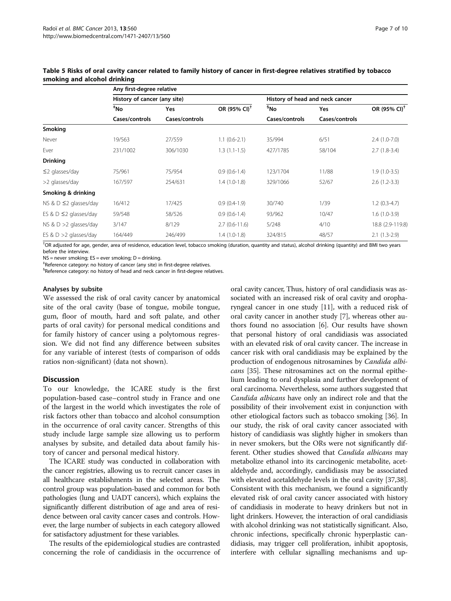|                             | Any first-degree relative    |                |                          |                                 |                |                          |
|-----------------------------|------------------------------|----------------|--------------------------|---------------------------------|----------------|--------------------------|
|                             | History of cancer (any site) |                |                          | History of head and neck cancer |                |                          |
|                             | *No                          | Yes            | OR (95% CI) <sup>+</sup> | <sup>§</sup> No                 | <b>Yes</b>     | OR (95% CI) <sup>+</sup> |
|                             | Cases/controls               | Cases/controls |                          | Cases/controls                  | Cases/controls |                          |
| Smoking                     |                              |                |                          |                                 |                |                          |
| Never                       | 19/563                       | 27/559         | $1.1(0.6-2.1)$           | 35/994                          | 6/51           | $2.4(1.0-7.0)$           |
| Ever                        | 231/1002                     | 306/1030       | $1.3(1.1-1.5)$           | 427/1785                        | 58/104         | $2.7(1.8-3.4)$           |
| <b>Drinking</b>             |                              |                |                          |                                 |                |                          |
| $\leq$ 2 glasses/day        | 75/961                       | 75/954         | $0.9(0.6-1.4)$           | 123/1704                        | 11/88          | $1.9(1.0-3.5)$           |
| >2 glasses/day              | 167/597                      | 254/631        | $1.4(1.0-1.8)$           | 329/1066                        | 52/67          | $2.6(1.2-3.3)$           |
| Smoking & drinking          |                              |                |                          |                                 |                |                          |
| NS & $D \leq 2$ glasses/day | 16/412                       | 17/425         | $0.9(0.4-1.9)$           | 30/740                          | 1/39           | $1.2(0.3-4.7)$           |
| ES & $D \leq 2$ glasses/day | 59/548                       | 58/526         | $0.9(0.6-1.4)$           | 93/962                          | 10/47          | $1.6(1.0-3.9)$           |
| NS & $D > 2$ glasses/day    | 3/147                        | 8/129          | $2.7(0.6-11.6)$          | 5/248                           | 4/10           | 18.8 (2.9-119.8)         |
| ES & $D > 2$ glasses/day    | 164/449                      | 246/499        | $1.4(1.0-1.8)$           | 324/815                         | 48/57          | $2.1(1.3-2.9)$           |

<span id="page-6-0"></span>Table 5 Risks of oral cavity cancer related to family history of cancer in first-degree relatives stratified by tobacco smoking and alcohol drinking

† OR adjusted for age, gender, area of residence, education level, tobacco smoking (duration, quantity and status), alcohol drinking (quantity) and BMI two years before the interview.

 $NS =$  never smoking;  $ES =$  ever smoking;  $D =$  drinking.

‡ Reference category: no history of cancer (any site) in first-degree relatives.

§ Reference category: no history of head and neck cancer in first-degree relatives.

#### Analyses by subsite

We assessed the risk of oral cavity cancer by anatomical site of the oral cavity (base of tongue, mobile tongue, gum, floor of mouth, hard and soft palate, and other parts of oral cavity) for personal medical conditions and for family history of cancer using a polytomous regression. We did not find any difference between subsites for any variable of interest (tests of comparison of odds ratios non-significant) (data not shown).

## **Discussion**

To our knowledge, the ICARE study is the first population-based case–control study in France and one of the largest in the world which investigates the role of risk factors other than tobacco and alcohol consumption in the occurrence of oral cavity cancer. Strengths of this study include large sample size allowing us to perform analyses by subsite, and detailed data about family history of cancer and personal medical history.

The ICARE study was conducted in collaboration with the cancer registries, allowing us to recruit cancer cases in all healthcare establishments in the selected areas. The control group was population-based and common for both pathologies (lung and UADT cancers), which explains the significantly different distribution of age and area of residence between oral cavity cancer cases and controls. However, the large number of subjects in each category allowed for satisfactory adjustment for these variables.

The results of the epidemiological studies are contrasted concerning the role of candidiasis in the occurrence of oral cavity cancer, Thus, history of oral candidiasis was associated with an increased risk of oral cavity and oropharyngeal cancer in one study [\[11\]](#page-8-0), with a reduced risk of oral cavity cancer in another study [\[7\]](#page-8-0), whereas other authors found no association [[6\]](#page-8-0). Our results have shown that personal history of oral candidiasis was associated with an elevated risk of oral cavity cancer. The increase in cancer risk with oral candidiasis may be explained by the production of endogenous nitrosamines by Candida albicans [\[35](#page-9-0)]. These nitrosamines act on the normal epithelium leading to oral dysplasia and further development of oral carcinoma. Nevertheless, some authors suggested that Candida albicans have only an indirect role and that the possibility of their involvement exist in conjunction with other etiological factors such as tobacco smoking [[36](#page-9-0)]. In our study, the risk of oral cavity cancer associated with history of candidiasis was slightly higher in smokers than in never smokers, but the ORs were not significantly different. Other studies showed that Candida albicans may metabolize ethanol into its carcinogenic metabolite, acetaldehyde and, accordingly, candidiasis may be associated with elevated acetaldehyde levels in the oral cavity [\[37,38](#page-9-0)]. Consistent with this mechanism, we found a significantly elevated risk of oral cavity cancer associated with history of candidiasis in moderate to heavy drinkers but not in light drinkers. However, the interaction of oral candidiasis with alcohol drinking was not statistically significant. Also, chronic infections, specifically chronic hyperplastic candidiasis, may trigger cell proliferation, inhibit apoptosis, interfere with cellular signalling mechanisms and up-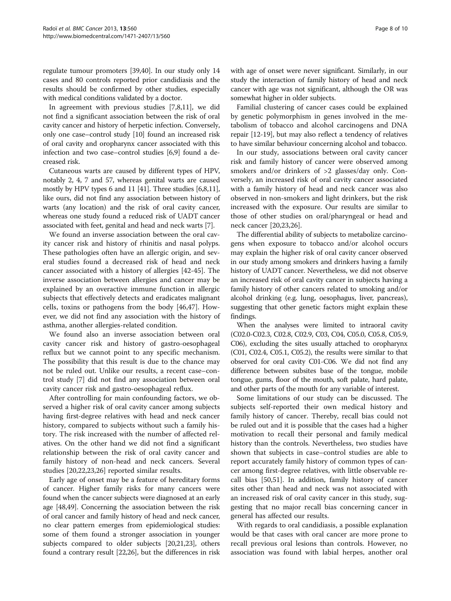regulate tumour promoters [[39,40](#page-9-0)]. In our study only 14 cases and 80 controls reported prior candidiasis and the results should be confirmed by other studies, especially with medical conditions validated by a doctor.

In agreement with previous studies [\[7](#page-8-0),[8](#page-8-0),[11](#page-8-0)], we did not find a significant association between the risk of oral cavity cancer and history of herpetic infection. Conversely, only one case–control study [\[10](#page-8-0)] found an increased risk of oral cavity and oropharynx cancer associated with this infection and two case–control studies [\[6,9\]](#page-8-0) found a decreased risk.

Cutaneous warts are caused by different types of HPV, notably 2, 4, 7 and 57, whereas genital warts are caused mostly by HPV types 6 and 11 [\[41](#page-9-0)]. Three studies [\[6,8,11](#page-8-0)], like ours, did not find any association between history of warts (any location) and the risk of oral cavity cancer, whereas one study found a reduced risk of UADT cancer associated with feet, genital and head and neck warts [[7](#page-8-0)].

We found an inverse association between the oral cavity cancer risk and history of rhinitis and nasal polyps. These pathologies often have an allergic origin, and several studies found a decreased risk of head and neck cancer associated with a history of allergies [[42](#page-9-0)-[45\]](#page-9-0). The inverse association between allergies and cancer may be explained by an overactive immune function in allergic subjects that effectively detects and eradicates malignant cells, toxins or pathogens from the body [\[46,47\]](#page-9-0). However, we did not find any association with the history of asthma, another allergies-related condition.

We found also an inverse association between oral cavity cancer risk and history of gastro-oesophageal reflux but we cannot point to any specific mechanism. The possibility that this result is due to the chance may not be ruled out. Unlike our results, a recent case–control study [\[7\]](#page-8-0) did not find any association between oral cavity cancer risk and gastro-oesophageal reflux.

After controlling for main confounding factors, we observed a higher risk of oral cavity cancer among subjects having first-degree relatives with head and neck cancer history, compared to subjects without such a family history. The risk increased with the number of affected relatives. On the other hand we did not find a significant relationship between the risk of oral cavity cancer and family history of non-head and neck cancers. Several studies [\[20,22,23,26\]](#page-9-0) reported similar results.

Early age of onset may be a feature of hereditary forms of cancer. Higher family risks for many cancers were found when the cancer subjects were diagnosed at an early age [[48,49](#page-9-0)]. Concerning the association between the risk of oral cancer and family history of head and neck cancer, no clear pattern emerges from epidemiological studies: some of them found a stronger association in younger subjects compared to older subjects [\[20,21,23](#page-9-0)], others found a contrary result [\[22,26\]](#page-9-0), but the differences in risk with age of onset were never significant. Similarly, in our study the interaction of family history of head and neck cancer with age was not significant, although the OR was somewhat higher in older subjects.

Familial clustering of cancer cases could be explained by genetic polymorphism in genes involved in the metabolism of tobacco and alcohol carcinogens and DNA repair [\[12](#page-8-0)[-19](#page-9-0)], but may also reflect a tendency of relatives to have similar behaviour concerning alcohol and tobacco.

In our study, associations between oral cavity cancer risk and family history of cancer were observed among smokers and/or drinkers of >2 glasses/day only. Conversely, an increased risk of oral cavity cancer associated with a family history of head and neck cancer was also observed in non-smokers and light drinkers, but the risk increased with the exposure. Our results are similar to those of other studies on oral/pharyngeal or head and neck cancer [[20,23](#page-9-0),[26](#page-9-0)].

The differential ability of subjects to metabolize carcinogens when exposure to tobacco and/or alcohol occurs may explain the higher risk of oral cavity cancer observed in our study among smokers and drinkers having a family history of UADT cancer. Nevertheless, we did not observe an increased risk of oral cavity cancer in subjects having a family history of other cancers related to smoking and/or alcohol drinking (e.g. lung, oesophagus, liver, pancreas), suggesting that other genetic factors might explain these findings.

When the analyses were limited to intraoral cavity (C02.0-C02.3, C02.8, C02.9, C03, C04, C05.0, C05.8, C05.9, C06), excluding the sites usually attached to oropharynx (C01, C02.4, C05.1, C05.2), the results were similar to that observed for oral cavity C01-C06. We did not find any difference between subsites base of the tongue, mobile tongue, gums, floor of the mouth, soft palate, hard palate, and other parts of the mouth for any variable of interest.

Some limitations of our study can be discussed. The subjects self-reported their own medical history and family history of cancer. Thereby, recall bias could not be ruled out and it is possible that the cases had a higher motivation to recall their personal and family medical history than the controls. Nevertheless, two studies have shown that subjects in case–control studies are able to report accurately family history of common types of cancer among first-degree relatives, with little observable recall bias [\[50,51\]](#page-9-0). In addition, family history of cancer sites other than head and neck was not associated with an increased risk of oral cavity cancer in this study, suggesting that no major recall bias concerning cancer in general has affected our results.

With regards to oral candidiasis, a possible explanation would be that cases with oral cancer are more prone to recall previous oral lesions than controls. However, no association was found with labial herpes, another oral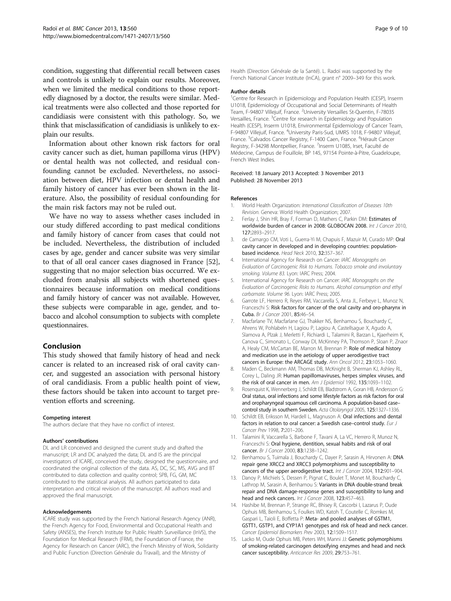<span id="page-8-0"></span>condition, suggesting that differential recall between cases and controls is unlikely to explain our results. Moreover, when we limited the medical conditions to those reportedly diagnosed by a doctor, the results were similar. Medical treatments were also collected and those reported for candidiasis were consistent with this pathology. So, we think that misclassification of candidiasis is unlikely to explain our results.

Information about other known risk factors for oral cavity cancer such as diet, human papilloma virus (HPV) or dental health was not collected, and residual confounding cannot be excluded. Nevertheless, no association between diet, HPV infection or dental health and family history of cancer has ever been shown in the literature. Also, the possibility of residual confounding for the main risk factors may not be ruled out.

We have no way to assess whether cases included in our study differed according to past medical conditions and family history of cancer from cases that could not be included. Nevertheless, the distribution of included cases by age, gender and cancer subsite was very similar to that of all oral cancer cases diagnosed in France [\[52](#page-9-0)], suggesting that no major selection bias occurred. We excluded from analysis all subjects with shortened questionnaires because information on medical conditions and family history of cancer was not available. However, these subjects were comparable in age, gender, and tobacco and alcohol consumption to subjects with complete questionnaires.

#### Conclusion

This study showed that family history of head and neck cancer is related to an increased risk of oral cavity cancer, and suggested an association with personal history of oral candidiasis. From a public health point of view, these factors should be taken into account to target prevention efforts and screening.

#### Competing interest

The authors declare that they have no conflict of interest.

#### Authors' contributions

DL and LR conceived and designed the current study and drafted the manuscript; LR and DC analyzed the data; DL and IS are the principal investigators of ICARE, conceived the study, designed the questionnaire, and coordinated the original collection of the data. AS, DC, SC, MS, AVG and BT contributed to data collection and quality control; SPB, FG, GM, MC contributed to the statistical analysis. All authors participated to data interpretation and critical revision of the manuscript. All authors read and approved the final manuscript.

#### Acknowledgements

ICARE study was supported by the French National Research Agency (ANR), the French Agency for Food, Environmental and Occupational Health and Safety (ANSES), the French Institute for Public Health Surveillance (InVS), the Foundation for Medical Research (FRM), the Foundation of France, the Agency for Research on Cancer (ARC), the French Ministry of Work, Solidarity and Public Function (Direction Générale du Travail), and the Ministry of

Health (Direction Générale de la Santé). L. Radoï was supported by the French National Cancer Institute (InCA), grant n° 2009–349 for this work.

#### Author details

<sup>1</sup> Centre for Research in Epidemiology and Population Health (CESP), Inserm U1018, Epidemiology of Occupational and Social Determinants of Health Team, F-94807 Villejuif, France. <sup>2</sup>University Versailles St-Quentin, F-78035 Versailles, France.<sup>3</sup> Centre for research in Epidemiology and Population Health (CESP), Inserm U1018, Environmental Epidemiology of Cancer Team, F-94807 Villejuif, France. <sup>4</sup>University Paris-Sud, UMRS 1018, F-94807 Villejuif, France. <sup>5</sup>Calvados Cancer Registry, F-1400 Caen, France. <sup>6</sup>Hérault Cancer Registry, F-34298 Montpellier, France. 7Inserm U1085, Irset, Faculté de Médecine, Campus de Fouillole, BP 145, 97154 Pointe-à-Pitre, Guadeloupe, French West Indies.

#### Received: 18 January 2013 Accepted: 3 November 2013 Published: 28 November 2013

#### References

- 1. World Health Organization: International Classification of Diseases 10th Revision. Geneva: World Health Organization; 2007.
- 2. Ferlay J, Shin HR, Bray F, Forman D, Mathers C, Parkin DM: Estimates of worldwide burden of cancer in 2008: GLOBOCAN 2008. Int J Cancer 2010, 127:2893–2917.
- 3. de Camargo CM, Voti L, Guerra-Yi M, Chapuis F, Mazuir M, Curado MP: Oral cavity cancer in developed and in developing countries: populationbased incidence. Head Neck 2010, 32:357–367.
- International Agency for Research on Cancer: IARC Monographs on Evaluation of Carcinogenic Risk to Humans. Tobacco smoke and involuntary smoking. Volume 83. Lyon: IARC Press; 2004.
- 5. International Agency for Research on Cancer: IARC Monographs on the Evaluation of Carcinogenic Risks to Humans. Alcohol consumption and ethyl carbamate. Volume 96. Lyon: IARC Press; 2005.
- 6. Garrote LF, Herrero R, Reyes RM, Vaccarella S, Anta JL, Ferbeye L, Munoz N, Franceschi S: Risk factors for cancer of the oral cavity and oro-pharynx in Cuba. Br J Cancer 2001, 85:46–54.
- 7. Macfarlane TV, Macfarlane GJ, Thakker NS, Benhamou S, Bouchardy C, Ahrens W, Pohlabeln H, Lagiou P, Lagiou A, Castellsague X, Agudo A, Slamova A, Plzak J, Merletti F, Richiardi L, Talamini R, Barzan L, Kjaerheim K, Canova C, Simonato L, Conway DI, McKinney PA, Thomson P, Sloan P, Znaor A, Healy CM, McCartan BE, Marron M, Brennan P: Role of medical history and medication use in the aetiology of upper aerodigestive tract cancers in Europe: the ARCAGE study. Ann Oncol 2012, 23:1053–1060.
- 8. Maden C, Beckmann AM, Thomas DB, McKnight B, Sherman KJ, Ashley RL, Corey L, Daling JR: Human papillomaviruses, herpes simplex viruses, and the risk of oral cancer in men. Am J Epidemiol 1992, 135:1093-1102.
- 9. Rosenquist K, Wennerberg J, Schildt EB, Bladstrom A, Goran HB, Andersson G: Oral status, oral infections and some lifestyle factors as risk factors for oral and oropharyngeal squamous cell carcinoma. A population-based case– control study in southern Sweden. Acta Otolaryngol 2005, 125:1327–1336.
- 10. Schildt EB, Eriksson M, Hardell L, Magnuson A: Oral infections and dental factors in relation to oral cancer: a Swedish case–control study. Eur J Cancer Prev 1998, 7:201–206.
- 11. Talamini R, Vaccarella S, Barbone F, Tavani A, La VC, Herrero R, Munoz N, Franceschi S: Oral hygiene, dentition, sexual habits and risk of oral cancer. Br J Cancer 2000, 83:1238–1242.
- 12. Benhamou S, Tuimala J, Bouchardy C, Dayer P, Sarasin A, Hirvonen A: DNA repair gene XRCC2 and XRCC3 polymorphisms and susceptibility to cancers of the upper aerodigestive tract. Int J Cancer 2004, 112:901-904.
- 13. Danoy P, Michiels S, Dessen P, Pignat C, Boulet T, Monet M, Bouchardy C, Lathrop M, Sarasin A, Benhamou S: Variants in DNA double-strand break repair and DNA damage-response genes and susceptibility to lung and head and neck cancers. Int J Cancer 2008, 123:457-463.
- 14. Hashibe M, Brennan P, Strange RC, Bhisey R, Cascorbi I, Lazarus P, Oude Ophuis MB, Benhamou S, Foulkes WD, Katoh T, Coutelle C, Romkes M, Gaspari L, Taioli E, Boffetta P: Meta- and pooled analyses of GSTM1, GSTT1, GSTP1, and CYP1A1 genotypes and risk of head and neck cancer. Cancer Epidemiol Biomarkers Prev 2003, 12:1509–1517.
- 15. Lacko M, Oude Ophuis MB, Peters WH, Manni JJ: Genetic polymorphisms of smoking-related carcinogen detoxifying enzymes and head and neck cancer susceptibility. Anticancer Res 2009, 29:753–761.